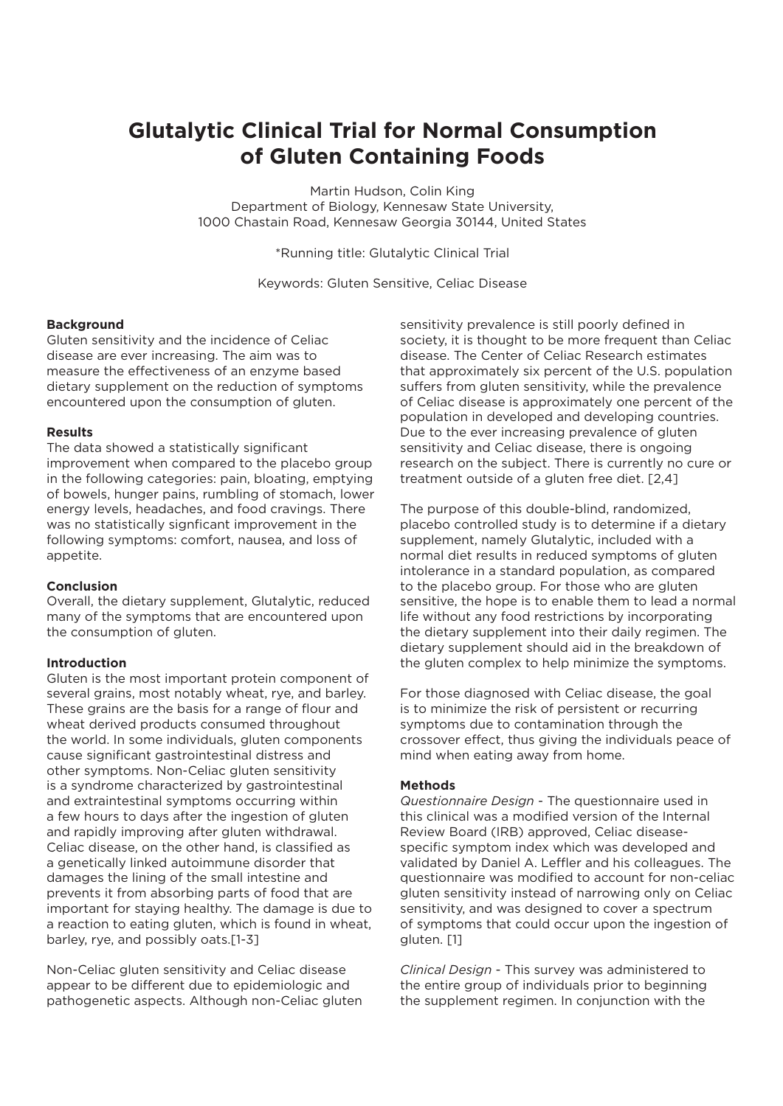# **Glutalytic Clinical Trial for Normal Consumption of Gluten Containing Foods**

Martin Hudson, Colin King Department of Biology, Kennesaw State University, 1000 Chastain Road, Kennesaw Georgia 30144, United States

\*Running title: Glutalytic Clinical Trial

Keywords: Gluten Sensitive, Celiac Disease

# **Background**

Gluten sensitivity and the incidence of Celiac disease are ever increasing. The aim was to measure the effectiveness of an enzyme based dietary supplement on the reduction of symptoms encountered upon the consumption of gluten.

# **Results**

The data showed a statistically significant improvement when compared to the placebo group in the following categories: pain, bloating, emptying of bowels, hunger pains, rumbling of stomach, lower energy levels, headaches, and food cravings. There was no statistically signficant improvement in the following symptoms: comfort, nausea, and loss of appetite.

# **Conclusion**

Overall, the dietary supplement, Glutalytic, reduced many of the symptoms that are encountered upon the consumption of gluten.

#### **Introduction**

Gluten is the most important protein component of several grains, most notably wheat, rye, and barley. These grains are the basis for a range of flour and wheat derived products consumed throughout the world. In some individuals, gluten components cause significant gastrointestinal distress and other symptoms. Non-Celiac gluten sensitivity is a syndrome characterized by gastrointestinal and extraintestinal symptoms occurring within a few hours to days after the ingestion of gluten and rapidly improving after gluten withdrawal. Celiac disease, on the other hand, is classified as a genetically linked autoimmune disorder that damages the lining of the small intestine and prevents it from absorbing parts of food that are important for staying healthy. The damage is due to a reaction to eating gluten, which is found in wheat, barley, rye, and possibly oats.[1-3]

Non-Celiac gluten sensitivity and Celiac disease appear to be different due to epidemiologic and pathogenetic aspects. Although non-Celiac gluten sensitivity prevalence is still poorly defined in society, it is thought to be more frequent than Celiac disease. The Center of Celiac Research estimates that approximately six percent of the U.S. population suffers from gluten sensitivity, while the prevalence of Celiac disease is approximately one percent of the population in developed and developing countries. Due to the ever increasing prevalence of gluten sensitivity and Celiac disease, there is ongoing research on the subject. There is currently no cure or treatment outside of a gluten free diet. [2,4]

The purpose of this double-blind, randomized, placebo controlled study is to determine if a dietary supplement, namely Glutalytic, included with a normal diet results in reduced symptoms of gluten intolerance in a standard population, as compared to the placebo group. For those who are gluten sensitive, the hope is to enable them to lead a normal life without any food restrictions by incorporating the dietary supplement into their daily regimen. The dietary supplement should aid in the breakdown of the gluten complex to help minimize the symptoms.

For those diagnosed with Celiac disease, the goal is to minimize the risk of persistent or recurring symptoms due to contamination through the crossover effect, thus giving the individuals peace of mind when eating away from home.

### **Methods**

*Questionnaire Design* - The questionnaire used in this clinical was a modified version of the Internal Review Board (IRB) approved, Celiac diseasespecific symptom index which was developed and validated by Daniel A. Leffler and his colleagues. The questionnaire was modified to account for non-celiac gluten sensitivity instead of narrowing only on Celiac sensitivity, and was designed to cover a spectrum of symptoms that could occur upon the ingestion of gluten. [1]

*Clinical Design* - This survey was administered to the entire group of individuals prior to beginning the supplement regimen. In conjunction with the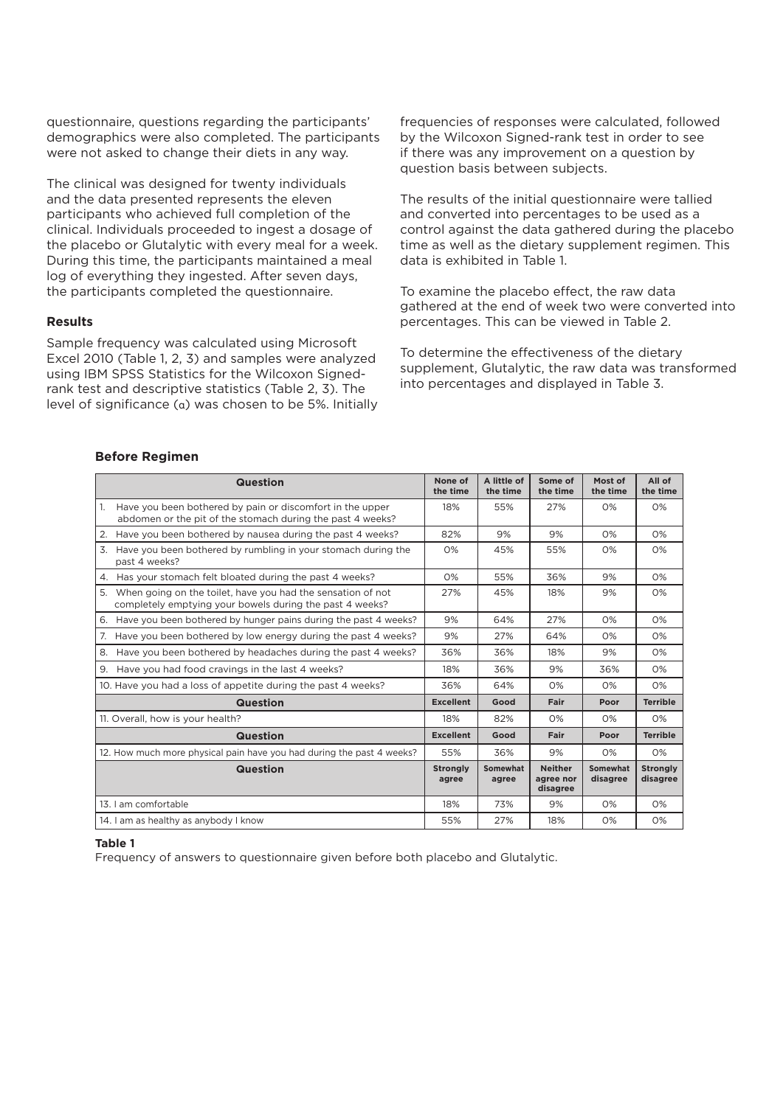questionnaire, questions regarding the participants' demographics were also completed. The participants were not asked to change their diets in any way.

The clinical was designed for twenty individuals and the data presented represents the eleven participants who achieved full completion of the clinical. Individuals proceeded to ingest a dosage of the placebo or Glutalytic with every meal for a week. During this time, the participants maintained a meal log of everything they ingested. After seven days, the participants completed the questionnaire.

#### **Results**

Sample frequency was calculated using Microsoft Excel 2010 (Table 1, 2, 3) and samples were analyzed using IBM SPSS Statistics for the Wilcoxon Signedrank test and descriptive statistics (Table 2, 3). The level of significance (α) was chosen to be 5%. Initially frequencies of responses were calculated, followed by the Wilcoxon Signed-rank test in order to see if there was any improvement on a question by question basis between subjects.

The results of the initial questionnaire were tallied and converted into percentages to be used as a control against the data gathered during the placebo time as well as the dietary supplement regimen. This data is exhibited in Table 1.

To examine the placebo effect, the raw data gathered at the end of week two were converted into percentages. This can be viewed in Table 2.

To determine the effectiveness of the dietary supplement, Glutalytic, the raw data was transformed into percentages and displayed in Table 3.

#### **Before Regimen**

| <b>Question</b>                                                                                                                           | None of<br>the time      | A little of<br>the time | Some of<br>the time                     | Most of<br>the time  | All of<br>the time          |
|-------------------------------------------------------------------------------------------------------------------------------------------|--------------------------|-------------------------|-----------------------------------------|----------------------|-----------------------------|
| $\mathbf{1}$ .<br>Have you been bothered by pain or discomfort in the upper<br>abdomen or the pit of the stomach during the past 4 weeks? | 18%                      | 55%                     | 27%                                     | O%                   | O%                          |
| Have you been bothered by nausea during the past 4 weeks?<br>2.                                                                           | 82%                      | 9%                      | 9%                                      | O%                   | O%                          |
| 3.<br>Have you been bothered by rumbling in your stomach during the<br>past 4 weeks?                                                      | O%                       | 45%                     | 55%                                     | O%                   | O%                          |
| Has your stomach felt bloated during the past 4 weeks?<br>4.                                                                              | 0%                       | 55%                     | 36%                                     | 9%                   | 0%                          |
| 5.<br>When going on the toilet, have you had the sensation of not<br>completely emptying your bowels during the past 4 weeks?             | 27%                      | 45%                     | 18%                                     | 9%                   | O%                          |
| Have you been bothered by hunger pains during the past 4 weeks?<br>6.                                                                     | 9%                       | 64%                     | 27%                                     | 0%                   | 0%                          |
| Have you been bothered by low energy during the past 4 weeks?<br>7.                                                                       | 9%                       | 27%                     | 64%                                     | O%                   | O%                          |
| Have you been bothered by headaches during the past 4 weeks?<br>8.                                                                        | 36%                      | 36%                     | 18%                                     | 9%                   | 0%                          |
| Have you had food cravings in the last 4 weeks?<br>9.                                                                                     | 18%                      | 36%                     | 9%                                      | 36%                  | O%                          |
| 10. Have you had a loss of appetite during the past 4 weeks?                                                                              | 36%                      | 64%                     | O%                                      | O%                   | O%                          |
| <b>Question</b>                                                                                                                           | <b>Excellent</b>         | Good                    | Fair                                    | Poor                 | <b>Terrible</b>             |
| 11. Overall, how is your health?                                                                                                          | 18%                      | 82%                     | O%                                      | O%                   | O%                          |
| <b>Question</b>                                                                                                                           | <b>Excellent</b>         | Good                    | Fair                                    | Poor                 | <b>Terrible</b>             |
| 12. How much more physical pain have you had during the past 4 weeks?                                                                     | 55%                      | 36%                     | 9%                                      | O%                   | O%                          |
| <b>Question</b>                                                                                                                           | <b>Strongly</b><br>agree | Somewhat<br>agree       | <b>Neither</b><br>agree nor<br>disagree | Somewhat<br>disagree | <b>Stronalv</b><br>disagree |
| 13. I am comfortable                                                                                                                      | 18%                      | 73%                     | 9%                                      | O%                   | O%                          |
| 14. I am as healthy as anybody I know                                                                                                     | 55%                      | 27%                     | 18%                                     | O%                   | O%                          |

#### **Table 1**

Frequency of answers to questionnaire given before both placebo and Glutalytic.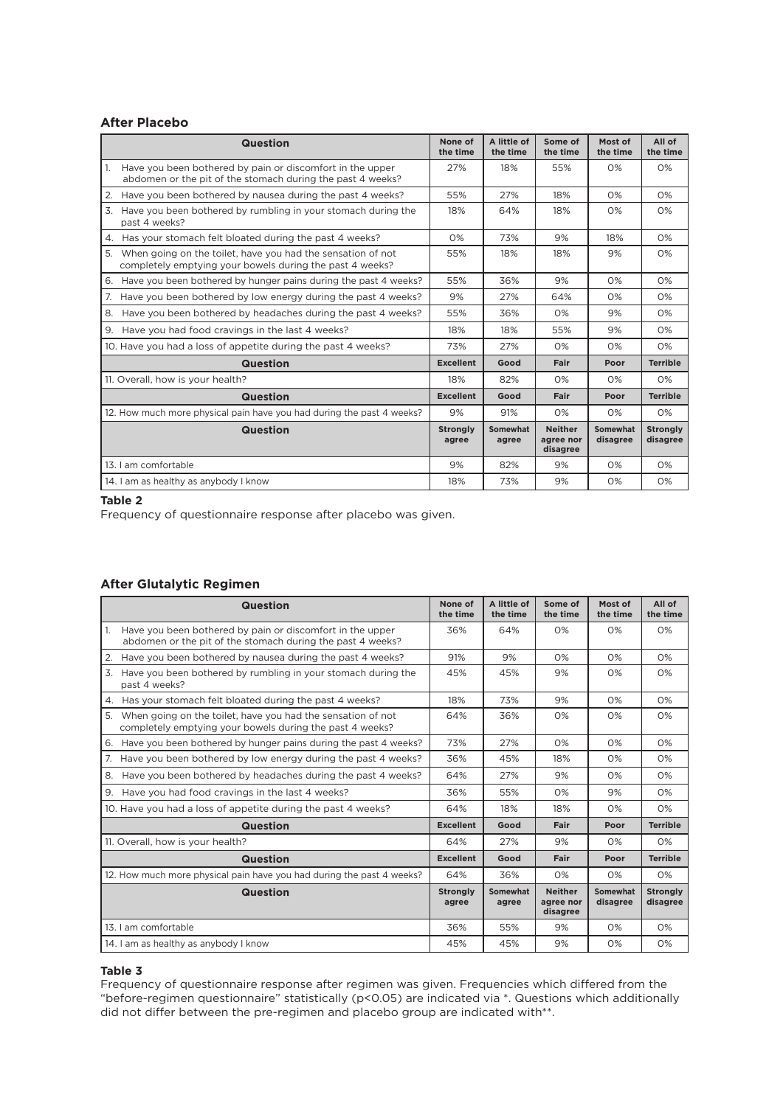### **After Placebo**

| <b>Question</b>                                                                                                               | None of<br>the time      | A little of<br>the time | Some of<br>the time                     | Most of<br>the time  | All of<br>the time          |
|-------------------------------------------------------------------------------------------------------------------------------|--------------------------|-------------------------|-----------------------------------------|----------------------|-----------------------------|
| Have you been bothered by pain or discomfort in the upper<br>1.<br>abdomen or the pit of the stomach during the past 4 weeks? | 27%                      | 18%                     | 55%                                     | O%                   | O%                          |
| Have you been bothered by nausea during the past 4 weeks?<br>2.                                                               | 55%                      | 27%                     | 18%                                     | O%                   | O%                          |
| 3.<br>Have you been bothered by rumbling in your stomach during the<br>past 4 weeks?                                          | 18%                      | 64%                     | 18%                                     | O%                   | 0%                          |
| Has your stomach felt bloated during the past 4 weeks?<br>4.                                                                  | O%                       | 73%                     | 9%                                      | 18%                  | O%                          |
| 5.<br>When going on the toilet, have you had the sensation of not<br>completely emptying your bowels during the past 4 weeks? | 55%                      | 18%                     | 18%                                     | 9%                   | O%                          |
| Have you been bothered by hunger pains during the past 4 weeks?<br>6.                                                         | 55%                      | 36%                     | 9%                                      | O%                   | O%                          |
| Have you been bothered by low energy during the past 4 weeks?<br>7.                                                           | 9%                       | 27%                     | 64%                                     | O%                   | O%                          |
| 8.<br>Have you been bothered by headaches during the past 4 weeks?                                                            | 55%                      | 36%                     | O%                                      | 9%                   | O%                          |
| Have you had food cravings in the last 4 weeks?<br>9.                                                                         | 18%                      | 18%                     | 55%                                     | 9%                   | O%                          |
| 10. Have you had a loss of appetite during the past 4 weeks?                                                                  | 73%                      | 27%                     | O%                                      | O%                   | O%                          |
| <b>Question</b>                                                                                                               | <b>Excellent</b>         | Good                    | Fair                                    | Poor                 | <b>Terrible</b>             |
| 11. Overall, how is your health?                                                                                              | 18%                      | 82%                     | O%                                      | O%                   | O%                          |
| <b>Question</b>                                                                                                               | <b>Excellent</b>         | Good                    | Fair                                    | Poor                 | <b>Terrible</b>             |
| 12. How much more physical pain have you had during the past 4 weeks?                                                         | 9%                       | 91%                     | O%                                      | O%                   | O%                          |
| <b>Question</b>                                                                                                               | <b>Strongly</b><br>agree | Somewhat<br>agree       | <b>Neither</b><br>agree nor<br>disagree | Somewhat<br>disagree | <b>Strongly</b><br>disagree |
| 13. Lam comfortable                                                                                                           | 9%                       | 82%                     | 9%                                      | O%                   | O%                          |
| 14. I am as healthy as anybody I know                                                                                         | 18%                      | 73%                     | 9%                                      | O%                   | O%                          |

#### **Table 2**

Frequency of questionnaire response after placebo was given.

#### **After Glutalytic Regimen**

| <b>Question</b>                                                                                                               | None of<br>the time      | A little of<br>the time  | Some of<br>the time                     | Most of<br>the time         | All of<br>the time          |
|-------------------------------------------------------------------------------------------------------------------------------|--------------------------|--------------------------|-----------------------------------------|-----------------------------|-----------------------------|
| Have you been bothered by pain or discomfort in the upper<br>1.<br>abdomen or the pit of the stomach during the past 4 weeks? | 36%                      | 64%                      | O%                                      | 0%                          | 0%                          |
| Have you been bothered by nausea during the past 4 weeks?<br>2.                                                               | 91%                      | 9%                       | O%                                      | O%                          | O%                          |
| Have you been bothered by rumbling in your stomach during the<br>3.<br>past 4 weeks?                                          | 45%                      | 45%                      | 9%                                      | 0%                          | O%                          |
| Has your stomach felt bloated during the past 4 weeks?<br>4.                                                                  | 18%                      | 73%                      | 9%                                      | 0%                          | 0%                          |
| 5.<br>When going on the toilet, have you had the sensation of not<br>completely emptying your bowels during the past 4 weeks? | 64%                      | 36%                      | O%                                      | O%                          | O%                          |
| 6. Have you been bothered by hunger pains during the past 4 weeks?                                                            | 73%                      | 27%                      | O%                                      | O%                          | O%                          |
| Have you been bothered by low energy during the past 4 weeks?<br>7.                                                           | 36%                      | 45%                      | 18%                                     | 0%                          | $O\%$                       |
| Have you been bothered by headaches during the past 4 weeks?<br>8.                                                            | 64%                      | 27%                      | 9%                                      | $O\%$                       | O%                          |
| 9. Have you had food cravings in the last 4 weeks?                                                                            | 36%                      | 55%                      | O%                                      | 9%                          | O%                          |
| 10. Have you had a loss of appetite during the past 4 weeks?                                                                  | 64%                      | 18%                      | 18%                                     | O%                          | O%                          |
| <b>Question</b>                                                                                                               | <b>Excellent</b>         | Good                     | Fair                                    | Poor                        | <b>Terrible</b>             |
| 11. Overall, how is your health?                                                                                              | 64%                      | 27%                      | 9%                                      | O%                          | O%                          |
| <b>Question</b>                                                                                                               | <b>Excellent</b>         | Good                     | Fair                                    | Poor                        | <b>Terrible</b>             |
| 12. How much more physical pain have you had during the past 4 weeks?                                                         | 64%                      | 36%                      | 0%                                      | 0%                          | O%                          |
| <b>Question</b>                                                                                                               | <b>Strongly</b><br>agree | <b>Somewhat</b><br>agree | <b>Neither</b><br>agree nor<br>disagree | <b>Somewhat</b><br>disagree | <b>Stronaly</b><br>disagree |
| 13. Lam comfortable                                                                                                           | 36%                      | 55%                      | 9%                                      | $O\%$                       | O%                          |
| 14. I am as healthy as anybody I know                                                                                         | 45%                      | 45%                      | 9%                                      | 0%                          | 0%                          |

#### **Table 3**

Frequency of questionnaire response after regimen was given. Frequencies which differed from the "before-regimen questionnaire" statistically (p<0.05) are indicated via \*. Questions which additionally did not differ between the pre-regimen and placebo group are indicated with\*\*.